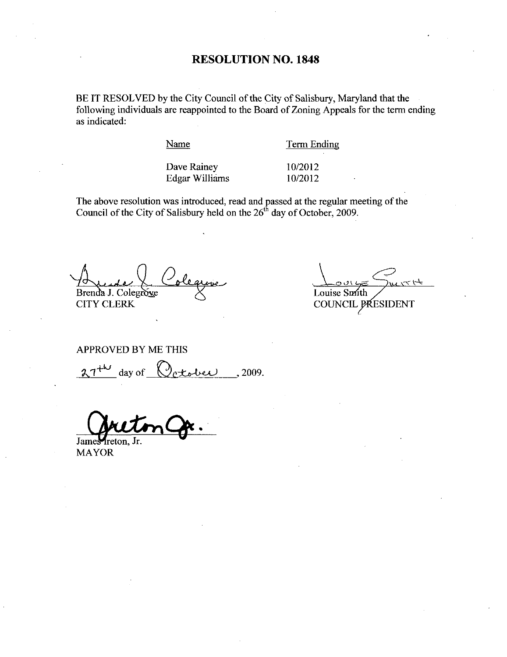#### RESOLUTION NO. 1848

BE IT RESOLVED by the City Council of the City of Salisbury, Maryland that the following individuals are reappointed to the Board of Zoning Appeals for the term ending as indicated

Name

Term Ending

Dave Rainey Edgar Williams  $\frac{10}{2012}$ 10/2012<br>10/2012

The above resolution was introduced, read and passed at the regular meeting of the Council of the City of Salisbury held on the 26<sup>th</sup> day of October, 2009.

Brenda J. Colegrove CITY CLERK

 $\frac{1}{2}$ 

Louise Smith COUNCIL PRESIDENT

Colegrave<br>ERK<br>EDBY ME THIS<br>day of Cetober , 2009. APPROVED BY ME THIS  $27^{+44}$ 

James freton MAYOR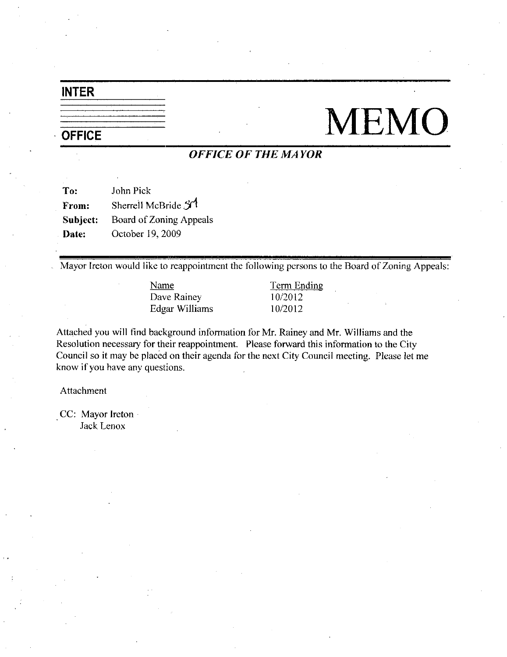### INTER

### **OFFICE**

# **MEMO**

### **OFFICE OF THE MAYOR**

| To:      | John Pick               |
|----------|-------------------------|
| From:    | Sherrell McBride 31     |
| Subject: | Board of Zoning Appeals |
| Date:    | October 19, 2009        |

Mayor Ireton would like to reappointment the following persons to the Board of Zoning Appeals:

Name Term Ending Dave Rainey 10/2012<br>Edgar Williams 10/2012 Edgar Williams

Attached you will find background information for Mr. Rainey and Mr. Williams and the Resolution necessary for their reappointment. Please forward this information to the City Council so it may be placed on their agenda for the next City Council meeting. Please let me know if you have any questions

Attachment

CC: Mayor Ireton Jack Lenox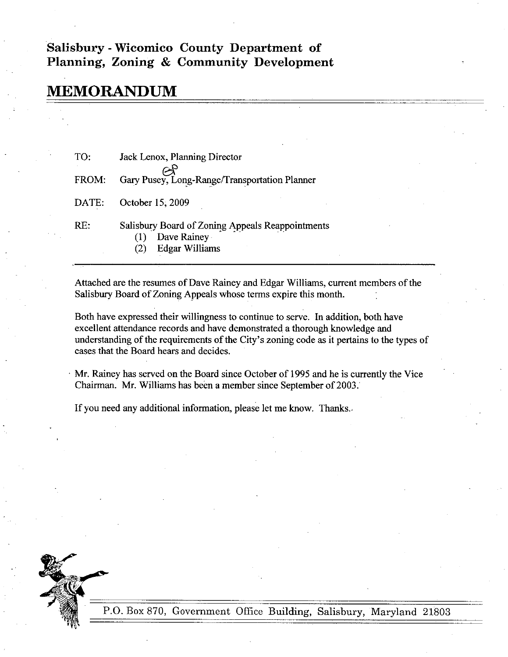#### Salisbury - Wicomico County Department of Planning, Zoning & Community Development

## MEMORANDUM

| TO:   | Jack Lenox, Planning Director                                                                   |
|-------|-------------------------------------------------------------------------------------------------|
| FROM: | Gary Pusey, Long-Range/Transportation Planner                                                   |
| DATE: | October 15, 2009                                                                                |
| RE:   | Salisbury Board of Zoning Appeals Reappointments<br>Dave Rainey<br>(1)<br><b>Edgar Williams</b> |

Attached are the resumes of Dave Rainey and Edgar Williams, current members of the Salisbury Board of Zoning Appeals whose terms expire this month.

Both have expressed their willingness to continue to serve. In addition, both have excellent attendance records and have demonstrated athorough knowledge and understanding of the requirements of the City's zoning code as it pertains to the types of cases that the Board hears and decides

Mr. Rainey has served on the Board since October of 1995 and he is currently the Vice Chairman. Mr. Williams has been a member since September of 2003.

If you need any additional information, please let me know. Thanks.



P.O. Box 870, Government Office Building, Salisbury, Maryland 21803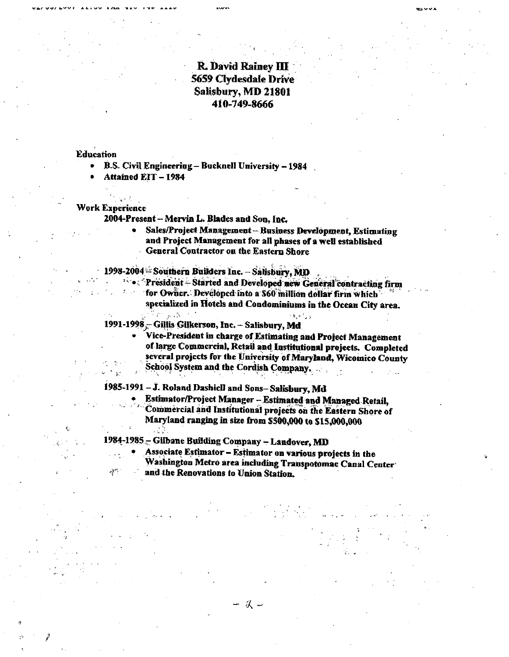#### R. David Rainey III 5659 Clydesdale Drive Salisbury, MD 21801 410-749-8666

#### **Education**

n

r<sup>2</sup>

B.S. Civil Engineering - Bucknell University - 1984

Attained EIT - 1984

#### WorkExperience

 $\mathcal{F}^{\mathbf{p},\mathbf{r}}_{\mathbf{p}}$ 

2004-Present - Mervin L. Blades and Son, Inc.

- Sales/Project Management Business Development, Estimating and Project Management for all phases of a well established General Contractor on the Eastern Shore Sales/Project Management – Business Development, Estim<br>and Project Management for all phases of a well establishe<br>General Contractor on the Eastern Shore<br>- Southern Builders Inc. – Salisbury, MD<br>President – Started and Dev
- 1998-2004 Southern Builders Inc. Salisbury, MD.
- Seatral Commeter on the Eastern Shore<br>2004 Southern Builders Inc. Salisbury, MD<br>2007 President Started and Developed new General contracting firm
	- specialized in Hotels and Condominiums in the Ocean City area.

1991-1998 Gillis Gilkerson, Inc. - Salisbury, Md

Vice-President in charge of Estimating and Project Management of large Commercial, Retail and Institutional projects. Completed several projects for the University of Maryland, Wieomico County<br>School System and the Cordish Company.<br>- J. Roland Dashiell and Sons-Salisbury, Md<br>Estimator/Project Manager - Estimated and Managed Retail, School System and the Cordish Company. speci<br>
1991-1998<br>
Vice<br>
Vice<br>
of lan<br>
sever<br>
Scho<br>
1985-1991 – J.<br>
Participal<br>
Com

– J. Roland Dashiell and Sons– Salisbury, Md<br>Estimator/Project Manager – Estimated and Managed Retail,<br>Commercial and Institutional projects an the Fectors Shote. Commercial and Institutional projects oa the Ea3tero Shore of Maryland ranging in size from \$500,000 to \$15,000,000

1984-1985 - Gilbane Building Company - Landover, MD

Associate Estimator - Estimator on various projects in the

Washington Metro area including Transpotomac Canal Center

and the Renovations to Union Station

- 仗 -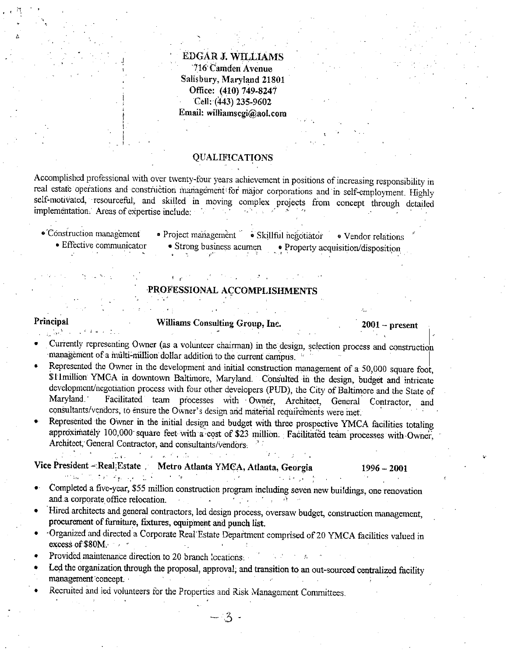EDGAR J. WILLIAMS<br>716 Camden Avenue<br>Selishury Meruland 2180 Salisbury, Maryland 21801 **DGAR J. WILLIAM!**<br>
716 Camden Avenue<br>
lisbury, Maryland 2180<br>
Office: (410) 749-8247<br>
Cell: (443) 235-9602 Office: (410) 749-8247<br>Cell: (443) 235-9602 Email: williamscgi@aol.com

#### QUALIFICATIONS

Accomplished professional with over twenty-four years achievement in positions of increasing responsibility in real estate operations and construction management for major corporations and in self-employment. Highly self-m real estate operations and construction management for major corporations and in self-employment. Highly self-motivated, resourceful, and skilled in moving complex projects from concept through detailed implementation. Areas of expertise include:

I

1

• Construction management • Project management • Skillful negotiator • Vendor relations<br>• Effective communicator • Strong business acumen • Property acquisition/disposition  $\bullet$  Strong business acumen • Property acquisition/disposition

#### PROFESSIONAL ACCOMPLISHMENTS

il

#### Principal Williams Consulting Group, Inc. 2001 - present

- Currently representing Owner (as a volunteer chairman) in the design, selection process and construction management of a multi-million dollar addition to the current campus.
- Represented the Owner in the development and initial construction management of a 50,000 square foot,<br>SHmillion YMCA in downtown Baltimore, Maryland. Consulted in the design, budget and intricate SH million YMCA in downtown Baltimore, Maryland. Consulted in the design, budget and intricate development/negotiation process with four other developers (PUD), the City of Baltimore and the State of Maryland. Facilitated Facilitated team processes with Owner, Architect, General Contractor, and consultants/vendors, to ensure the Owner's design and material requirements were met. are the million Facilitated team processes with overely and intricate<br>r other developers (PUD), the City of Baltimore and the State of<br>sses with Owner, Architect, General Contractor, and<br>s design and material requirements
- Represented the Owner in the initial design and budget with three prospective YMCA facilities totaling Represented the Owner in the initial des<br>approximately 100,000 square feet with approximately 100,000 square feet with a cost of \$23<br>Architect, General Contractor, and consultants/vendors.

## Vice President - Real Estate Metro Atlanta YMCA, Atlanta, Georgia 1996 - 2001

- Completed a five-year, \$55 million construction program including seven new buildings, one renovation Completed a five-year, \$55 million.<br>and a corporate office relocation
- Hired architects and general contractors, led design process, oversaw budget, construction management, procurement of furniture, fixtures, equipment and punch list.
- Organized and directed <sup>a</sup>Corporate Real Estate Department comprised of<sup>20</sup> YMCA facilities valued in procurement of f<br>Organized and di<br>excess of \$80M.
- Provided maintenance direction to 20 branch locations.
- Led the organization through the proposal, approval, and transition to an out-sourced centralized facility management concept.

- 3 -

Recruited and led volunteers for the Properties and Risk Management Committees.